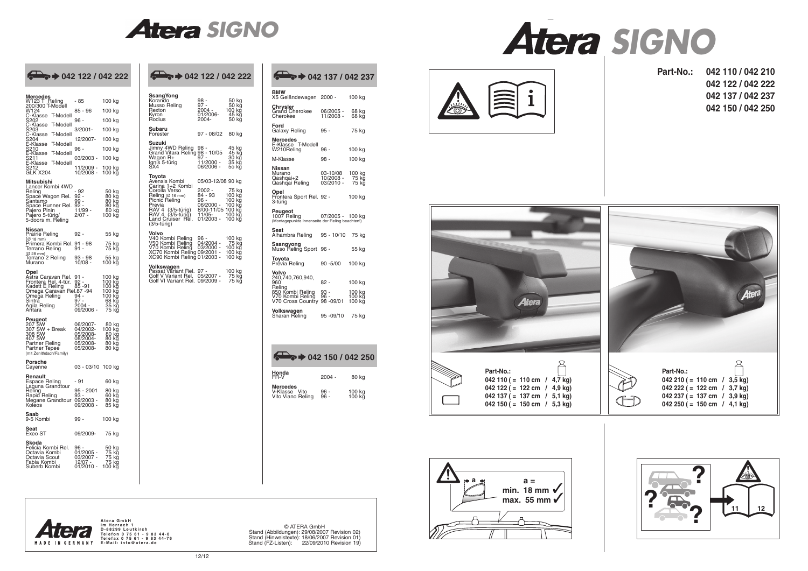

© ATERA GmbH Stand (Abbildungen): 29/08/2007 Revision 02) Stand (Hinweistexte): 18/06/2007 Revision 01) Stand (FZ-Listen): 22/09/2010 Revision 19)

| Mercedes<br>W123 T_Reling                                                                             | - 85                              | 100 kg                        |
|-------------------------------------------------------------------------------------------------------|-----------------------------------|-------------------------------|
| 200/300 T-Modell<br>W124                                                                              | 85 - 96                           | 100 kg                        |
| C-Klasse<br><b>T-Modell</b><br>S202<br>C-Klasse<br>S203<br>T-Modell                                   | 96 -                              | 100 kg                        |
| T-Modell                                                                                              | 3/2001-                           | 100 kg                        |
| C-Klasse<br>3204<br>E-Klasse<br>T-Modell                                                              | 12/2007-                          | 100 kg                        |
| S210<br>E-Klasse<br>T-Modell                                                                          | 96 -                              | 100 kg                        |
| ້ຣ211<br>-Klasse<br><b>T-Modell</b><br>Ŀ                                                              | 03/2003 -                         | 100 kg                        |
| 5212,<br>GLK X204                                                                                     | 11/2009 -<br>10/2008 -            | 100 kg<br>100 kğ              |
| <b>Mitsubishi</b>                                                                                     |                                   |                               |
| Lancer Kombi 4WD<br>Reling                                                                            | - 92<br>92 -                      | 50 kg<br>80 kg                |
| Spacĕ Wagon Rel.<br>Santamo                                                                           | 99 -<br>$92-$                     | 80 kğ<br>80 kg                |
| Space Runner Rel.<br>Pajero Pinin                                                                     | $11/99 -$<br>2/07 -               | 80 kg<br>100 kg               |
| Pajero 5-türig/<br>5-doors m. Reling                                                                  |                                   |                               |
| Nissan<br>Prairie Reling                                                                              | 92 -                              | 55 kg                         |
| (Ø 18 mm)<br>Primera Kombi Rel. 91 - 98<br>Terrano Reling         91 -                                |                                   | 75 kg<br>75 kg                |
| (Ø 28 mm)<br>Terrano 2 Reling<br>Murano                                                               | 93 - 98<br>10/08 -                | 55 kg<br>100 kg               |
| Opel                                                                                                  |                                   |                               |
| Aṡtra Caravan Rel.<br>Frontera Rel. 4-tür. 92 -<br>Kadett E Reling 85 -91<br>Omega Caravan Rel.87 -94 | 91                                | 100 kg<br>100 kg              |
| Omega Reling                                                                                          | $94 -$                            | 100 kğ<br>100 kg<br>100 kg    |
| Sintra<br>Agila Reling                                                                                | 97 -<br>2004 -                    | 68 kg<br>35 kg                |
| Añtara                                                                                                | 09/2006 -                         | 75 kg                         |
| <b>Peugeot</b><br>207 SW<br>307 SW + Break<br>308 SW<br>407 SW                                        | 06/2007-                          | 80 kg                         |
|                                                                                                       | 04/2002-<br>05/2008-              | 100 kğ<br>80 kg               |
| Partner Reling<br>Partner Tepee                                                                       | 08/2004-<br>05/2008-<br>05/2008-  | 80 kg<br>80 kg                |
| (mit Zenithdach/Family)                                                                               |                                   | 80 kg                         |
| Porsche<br>Cayenne                                                                                    | 03 - 03/10                        | 100 kg                        |
| Renault                                                                                               | $-91$                             |                               |
| Espace Reling<br>Laguna Grandtour<br>Reling                                                           | 95 - 2001                         | 60 kg<br>80 kg                |
| Rapid Reling<br>Megane Grandtour                                                                      | $93 -$<br>09/2003 -               | 60 kg<br>80 kğ                |
| Kolēos                                                                                                | 09/2008 -                         | 85 kğ                         |
| Saab<br>9-5 Kombi                                                                                     | 99 -                              | 100 kg                        |
| Seat<br>Exeo ST                                                                                       | 09/2009-                          | 75 kg                         |
| Skoda<br>Felicia Kombi Rel.                                                                           | 96                                | <u>50</u> kg                  |
| Octavia Kombi                                                                                         | 01/2005 -                         | 75 kğ                         |
| Octavia Scout<br>Fabia Kombi<br>Suberb Kombi                                                          | 03/2007 -<br>12/07 -<br>01/2010 - | ,<br>75 kğ<br>75 kg<br>100 kğ |
|                                                                                                       |                                   |                               |









**Part-No.: 042 110 / 042 210 042 122 / 042 222 042 137 / 042 237 042 150 / 042 250**





Atera GmbH<br>Im Herrach 1<br>D-88299 Leutkirch Telefon 0 75 61 - 9 83 44-0<br>Telefax 0 75 61 - 9 83 44-76<br>E-Mail: info@atera.de

| $\bigcirc$ $\bigcirc$ + 042 122 / 042 222                                                                         |                                                                  |                                                     | $\bigcirc$ $\bigcirc$ 042 122 / 042 222                                                     |                                                                      |                                   | $\bigcirc$ $\bigcirc$ + 042 137 / 042 237                                  |                        |                  |
|-------------------------------------------------------------------------------------------------------------------|------------------------------------------------------------------|-----------------------------------------------------|---------------------------------------------------------------------------------------------|----------------------------------------------------------------------|-----------------------------------|----------------------------------------------------------------------------|------------------------|------------------|
| <b>/lercedes</b><br>V123 T Reling                                                                                 | - 85                                                             | 100 kg                                              | <b>SsangYong</b><br>Korando                                                                 | 98 -                                                                 | 50 kg                             | BMW<br>X5 Geländewagen 2000 -                                              |                        | 100 kg           |
| :00/300 T-Modell<br>V124<br>>-Klasse T-Modell<br>3202                                                             | $85 - 96$<br>$96 -$                                              | 100 kg<br>$100$ kg                                  | Musso Reling<br>Rexton<br>Kvron<br>Rodius                                                   | $97 -$<br>$2004 -$<br>01/2006-<br>2004-                              | 50 kg<br>100 kg<br>45 kg<br>50 kg | Chrysler<br>Grand Cherokee<br>Cherokee                                     | 06/2005 -<br>11/2008 - | 68 kg<br>68 kg   |
| C-Klasse T-Modell<br>ኔ203<br>-Klasse T-Modell                                                                     | $3/2001 -$                                                       | 100 kg                                              | Subaru<br>Forester                                                                          | $97 - 08/02$                                                         | 80 kg                             | Ford<br>Galaxy Reling                                                      | $95 -$                 | 75 kg            |
| ኔ204<br>-Klasse T-Modell<br>210ء                                                                                  | 12/2007-<br>$96 -$                                               | 100 kg<br>100 kg                                    | Suzuki<br>Jimny 4WD Reling 98 -                                                             |                                                                      | 45 kg                             | <b>Mercedes</b><br>E-Klasse T-Modell<br>W210Reling                         | $96 -$                 | 100 kg           |
| -Klasse T-Modell<br>211ء<br>E-Klasse T-Modell                                                                     | 03/2003 - 100 kg                                                 |                                                     | Grand Vitara Reling 98 - 10/05<br>Wagon R+<br>Ignis 5-türig                                 | 97 -<br>11/2000 -                                                    | 45 kg<br>30 kg<br>35 kg           | M-Klasse                                                                   | 98 -                   | 100 kg           |
| 3212<br>SLK X204                                                                                                  | 11/2009 - 100 kg<br>10/2008 - 100 kğ                             |                                                     | SX4.<br>Toyota<br>Avensis Kombi                                                             | 06/2006 -                                                            | 50 kg                             | Nissan<br>Murano<br>Qashqai+2                                              | 03-10/08<br>10/2008 -  | 100 kg<br>75 kğ  |
| litsubishi<br>ancer Kombi 4WD.<br><b>Reling</b><br>}pacĕ Wagon Rel.<br>iantamo<br>Space Runner Rel. 92 -          | $-92$<br>$92 -$<br>$99 -$                                        | 50 kg<br>80 kg<br>80 kg<br>80 kg                    | Carina 1+2 Kombi<br>Corolla Verso<br>Reling $(0, 16$ mm)<br>Picnic Reling<br>Previa         | 05/03-12/08 90 kg<br>$2002 -$<br>84 - 93<br>96 -<br>06/2000 - 100 kg | 75 kg<br>100 kg<br>100 kg         | Qashqai Reling<br>Opel<br>Frontera Sport Rel. 92 -<br>3-türig              | 03/2010 -              | 75 kg<br>100 ka  |
| ajero Pinin<br>aiero 5-türig/<br>i-doors m. Reling                                                                | $11/99 -$<br>$2/07 -$                                            | 80 kg<br>$100$ kg                                   | RAV 4 (3/5-türig)<br>RAV 4 (3/5-türig)<br>Land Cruiser Rel. 01/2003 - 100 kg                | 8/00-11/05 100 kg<br>$11/05 -$                                       | 100 kg                            | Peugeot<br>1007 Reling<br>(Montagepunkte Innenseite der Reling beachten!)  | 07/2005 - 100 kg       |                  |
| lissan<br>rairie Reling<br>Ø 18 mm)                                                                               | $92 -$                                                           | 55 kg                                               | $(3/5 - t \ddot{\mathsf{u}} \cdot \mathsf{rig})$<br><b>Volvo</b><br>V40 Kombi Reling        | 96 -                                                                 | 100 kg                            | Seat<br>Alhambra Reling                                                    | 95 - 10/10             | 75 kg            |
| <sup>9</sup> rimera Kombi Rel. 91 - 98<br>errano Reling<br>3 28 mm)                                               | $91 -$                                                           | 75 kg<br>75 kg                                      | V50 Kombi Reling<br>V70 Kombi Reling<br>XC70 Kombi Reling 09/2001 - 100 kg                  | $04/2004 -$<br>03/2000 - 100 kg                                      | 75 kg                             | Ssangyong<br>Muso Reling Sport 96 -                                        |                        | 55 kg            |
| errano 2 Reling<br>lurano                                                                                         | $93 - 98$<br>$10/08 -$                                           | 55 kg<br>100 kg                                     | XC90 Kombi Reling 01/2003 - 100 kg<br>Volkswagen                                            |                                                                      |                                   | Toyota<br>Prévia Reling                                                    | $90 - 5/00$            | 100 kg           |
| )pel<br>vstra Caravan Rel. 91 -<br>rontera Rel. 4-tür. 92 -<br>Gadett E Reling 85 -91<br>Omega Caravan Rel 87 -94 |                                                                  | 100 kg<br>100 kg<br>100 kğ<br>100 kg                | Passat Vāriant Rel. 97 -<br>Golf V Variant Rel. 05/2007 -<br>Golf VI Variant Rel. 09/2009 - |                                                                      | 100 kg<br>75 kg<br>75 kg          | Volvo<br>240.740.760.940.<br>960<br>Reling                                 | $82 -$                 | 100 kg           |
| ʻmega Reling<br>intra<br>\gila Reling                                                                             | $94 -$<br>$97 -$<br>$2004 -$                                     | 100 kg<br>68 kg<br>35 kg                            |                                                                                             |                                                                      |                                   | 850 Kombi Reling<br>V70 Kombi Reling<br>V70 Cross Country 98 -09/01 100 kg | $93 -$<br>$96 -$       | 100 kg<br>100 kg |
| \ntara<br>eugeot                                                                                                  | 09/2006 -                                                        | 75 kg                                               |                                                                                             |                                                                      |                                   | Volkswagen<br>Sharan Reling                                                | 95 - 09/10             | 75 kg            |
| :07 SW<br>07 SW + Break<br>08 SW<br>07 SW<br>Partner Reling<br>Partner Tepeẽ                                      | 06/2007-<br>04/2002-<br>05/2008-<br>08/2004-<br>05/2008-05/2008- | 80 kg<br>100 kğ<br>80 kg<br>80 kg<br>80 kğ<br>80 kg |                                                                                             |                                                                      |                                   |                                                                            |                        |                  |
| nit Zenithdach/Family)<br>orsche                                                                                  |                                                                  |                                                     |                                                                                             |                                                                      |                                   | $\rightarrow$ 042 150 / 042 250                                            |                        |                  |
| ;ayenne<br>የenault                                                                                                | 03 - 03/10 100 kg                                                |                                                     |                                                                                             |                                                                      |                                   | Honda<br>FR-V                                                              | $2004 -$               | 80 kg            |
| Espace Reling<br>aguna Grandtour.<br>łeling                                                                       | - 91<br>$95 - 2001$                                              | 60 kg<br>80 kg                                      |                                                                                             |                                                                      |                                   | <b>Mercedes</b><br>V-Klasse Vito                                           | 96 -                   | 100 kg           |
| Rapid Reling<br>1egane Grandtour 09/2003 -<br>oleos)                                                              | $93 -$<br>09/2008 -                                              | 60 kg<br>80 kg<br>85 kg                             |                                                                                             |                                                                      |                                   | Vito Viano Reling                                                          | $96 -$                 | 100 kğ           |
| ìaab                                                                                                              |                                                                  |                                                     |                                                                                             |                                                                      |                                   |                                                                            |                        |                  |

## 2000 - 100 kg Grand Cherokee 06/2005 - 68 kg Cherokee 11/2008 - 68 kg 95 - 75 kg E-Klasse T-Modell 96 - 100 kg 98 - 100 kg Murano 03-10/08 100 kg Qashqai+2 10/2008 - 75 kg Qashqai Reling 03/2010 - 75 kg 92 - 100 kg 07/2005 - 100 kg eite der Reling beachten!) 95 - 10/10 75 kg 96 - 55 kg 90 -5/00 100 kg



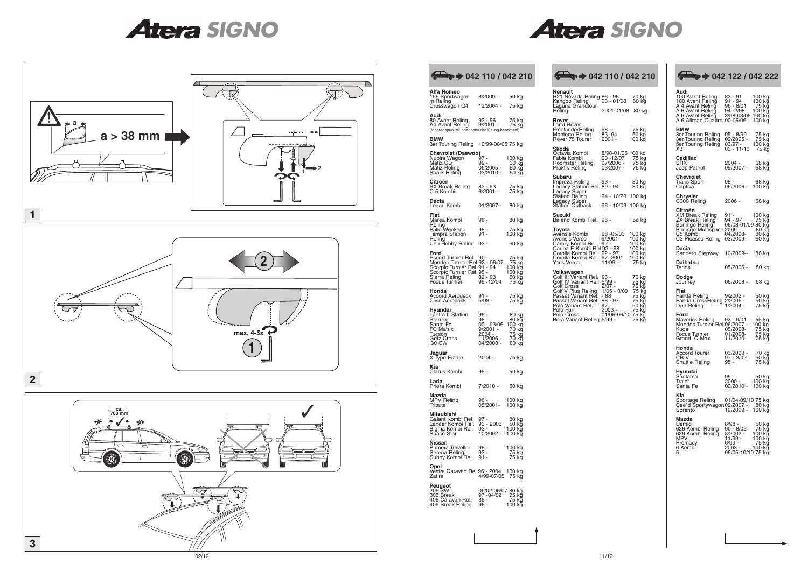## *SIGNO SIGNO*





# **Renault** R21 Nevada Reling 86 - 95 70 kg Kangoo Reling 03 - 01/08 80 kg Laguna Grandtour Reling 2001-01/08 80 kg **Rover**<br>Land Rover<br>FreelanderReling 98 - 75 kg<br>Montego Reling 83 -94 50 kg<br>Rover 75 Tourer 2001 - 100 kg **Skoda** Octavia Kombi 8/98-01/05 100 kg Fabia Kombi 00 -12/07 75 kg Roomster Reling 07/2006 - 75 kg Praktik Reling 03/2007 - 75 kg **Subaru**<br>
Impreza Reling 93 - 80 kg<br>
Legacy Super<br>
Station Reling 94 - 10/20 100 kg<br>
Station Cutback 96 - 10/03 100 kg<br>
Station Outback 96 - 10/03 100 kg **zuki**<br>eno Kombi Rel. 96 - 5o kg **Toyota**<br>Avensis Kombi 98 -05/03 100 kg<br>Avensis Verso 9/2001- 100 kg<br>Carrina E Kombi Rel. 92 - 100 kg<br>Carina E Kombi Rel. 92 - 97 - 100 kg<br>Corolla Kombi Rel. 92 - 97 - 100 kg<br>Corolla Kombi Rel. 97 -2001 100 kg<br>Yaris Verso Volkswagen<br>Golf III Variant Rel. 93 - 75 kg<br>Golf IV Variant Rel. 5/99 - 75 kg<br>Golf Cross 2/07 - 75 kg<br>Golf V Plus Reling 1/05 - 3/09 75 kg<br>Passat Variant Rel. 88 - 97 75 kg<br>Polo Cross 2/1/06-06/10 75 kg<br>Polo Cross 20/06-06

| $\bullet \bullet$ 042 110 / 042 210                                                                                                                                                                                        |                                                                                                                             |                                   |                |                                                                    |
|----------------------------------------------------------------------------------------------------------------------------------------------------------------------------------------------------------------------------|-----------------------------------------------------------------------------------------------------------------------------|-----------------------------------|----------------|--------------------------------------------------------------------|
| Alfa Romeo<br>156 Sportwagon 8/2000 -<br>m.Reling<br>Crosswagon Q4 12/2004 - 75 kg                                                                                                                                         |                                                                                                                             | 50 kg                             |                | <b>Renault</b><br>R <sub>21</sub> Ne<br>Kangoo<br>Laguna<br>Reling |
| Audi<br>80 Avant Reling<br>A4 Avant Reling 9/2001 - 75 kg<br>(Montagepunkte Innenseite der Reling beachten!)                                                                                                               | 92 - 96                                                                                                                     |                                   | 75 kg          | Rover<br>Land Ro<br>Freelan                                        |
| <b>BMW</b><br>3er Touring Reling 10/99-08/05 75 kg                                                                                                                                                                         |                                                                                                                             |                                   |                | Monteg<br>Rover <sub>7</sub><br>Skoda                              |
| <b>Chevrolet (Daewoo)</b><br>Mubira Wagon 99 - 100 kg<br>Matiz CD 99 - 30 kg<br>Matiz Reling 96/2005 - 50 kg<br>Spark Reling 03/2010 - 50 kg                                                                               |                                                                                                                             |                                   |                | Octavia<br>Fabia K<br>Roomst<br>Praktik I                          |
| Citroën                                                                                                                                                                                                                    |                                                                                                                             | 75 kg<br>75 kg                    |                | Subaru<br>Impreza<br>Legacy<br>Legacy<br>Station                   |
| Dacia<br>Logan Kombi 01/2007-- 80 kg                                                                                                                                                                                       |                                                                                                                             |                                   |                | Legacy<br>Station                                                  |
| Fiat<br>Marea Kombi                                                                                                                                                                                                        | 96 -                                                                                                                        | 80 kg                             |                | Suzuki<br>Baleno                                                   |
| Reling<br>Palio Weekend 98 -<br>Tempra Station 91 -                                                                                                                                                                        |                                                                                                                             | 75 kg<br>$100$ kg                 |                | Toyota<br>Avensis                                                  |
| Reling<br>Uno Hobby Reling 93 -                                                                                                                                                                                            |                                                                                                                             | 50 kg                             |                | Avensis<br>Camry !<br>Carina I                                     |
| Ford<br>Escort Turnier Rel. 90 - 75 kg<br>Mondeo Turnier Rel. 93 - 06/07 75 kg<br>Scorpio Turnier Rel. 91 - 94 100 kg<br>Scorpio Turnier Rel. 95 - 100 kg<br>Sierra Reling 82 - 93 50 kg<br>Focus Turnier 99 - 12/04 75 kg |                                                                                                                             |                                   |                | Corolla<br>Corolla<br>Yaris Ve<br>Volkswa<br>Golf III \<br>Golf IV |
| Honda<br>Accord Aerodeck  91 -<br>Civic Aerodeck   5/98 -                                                                                                                                                                  |                                                                                                                             | 75 kg<br>$75 \; \rm k\bar{\rm g}$ |                | Golf Cro<br>Golf V F<br>Passat \<br>Passat                         |
| Hyundai<br>Lántra II Station<br><b>Starrex</b><br>Santa Fe<br>FC Matrix<br><b>Iucson</b><br>Getz Cross<br>i30 CW                                                                                                           | 96 -<br>98 -<br>80 kg<br>80 kg<br>96 - 03/06 100 kg<br>9/2001 - 70 kg<br>2004 - 75 kg<br>11/2006 - 70 kg<br>04/2008 - 80 kg |                                   |                | Polo Va<br>Polo Fu<br>Polo Cro<br>Bora Va                          |
| Jaguar<br>X Type Estate                                                                                                                                                                                                    | $2004 -$                                                                                                                    | 75 kg                             |                |                                                                    |
| Kia<br>Clarus Kombi                                                                                                                                                                                                        | 98 -                                                                                                                        |                                   | 50 kg          |                                                                    |
| Lada<br>Priora Kombi                                                                                                                                                                                                       | 7/2010 -                                                                                                                    | 50 kg                             |                |                                                                    |
| Mazda<br>MPV Reling<br><i><u><b>Iribute</b></u></i>                                                                                                                                                                        | $96 -$<br>05/2001-                                                                                                          | 100 kg<br>100 kă                  |                |                                                                    |
| Mitsubishi<br>Galant Kombi Rel. 97 -<br>Lancer Kombi Rel. 93 - 2003<br>Sigma Kombi Rel. 93<br>Space Star                                                                                                                   | 93 - 2003<br>10/2002 -                                                                                                      | 50 kg<br>100 kg<br>100 kg         | 80 kg          |                                                                    |
| Nissan<br>Primera Traveller<br>Serena Reling<br>Sunny Kombi Rel.                                                                                                                                                           | 98 -<br>93 -<br>91 -                                                                                                        | 100 kg                            | 75 kg<br>75 kg |                                                                    |
| Opel<br>Vectra Caravan Rel.96 - 2004 100 kg<br>Zafira                                                                                                                                                                      | 4/99-07/05 75 kg                                                                                                            |                                   |                |                                                                    |
| <b>Peugeot</b><br>206 SW<br>306 Break<br>405 Caravan Rel. 88 - 11<br>406 Break Reling                                                                                                                                      | 06/02-06/07 80 kg<br>97 -04/02<br>$96 -$                                                                                    | 100 kg                            | 75 kg<br>75 kğ |                                                                    |
|                                                                                                                                                                                                                            |                                                                                                                             |                                   |                |                                                                    |

| Audi<br>100 Avant Reling<br>100 Avant Reling<br>A 4 Avant Reling<br>A 6 Avant Reling<br>A 6 Avant Relinğ<br>A 6 Allroad Quattro | 82 - 91<br>91 - 94<br>96 - 8/01<br>94 -2/98<br>3/98-03/05<br>00-06/06                             | 100 kg<br>100 kg<br>75 kg<br>100 kg<br>100 kg<br>100 kg  |
|---------------------------------------------------------------------------------------------------------------------------------|---------------------------------------------------------------------------------------------------|----------------------------------------------------------|
| BMW<br>3er Touring Reling<br>3er Touring Reling<br>5er Touring Reling<br>XЗ                                                     | 95 - 8/99<br>09/2005 -<br>03/97 -<br>03 - 11/10                                                   | 75 kg<br>75 kg<br>100 kğ<br>75 kg                        |
| Cadillac<br>SRX<br>Jeep Patriot                                                                                                 | 2004 -<br>09/2007 -                                                                               | 68 kg<br>68 kg                                           |
| Chevrolet<br>Trans Sport<br>Captiva                                                                                             | 98<br>06/2006 -                                                                                   | 68 kg<br>100 kğ                                          |
| <b>Chrysler</b><br>C300 Reling                                                                                                  | 2006 -                                                                                            | 68 kg                                                    |
| Citroën<br>XM Break Reling<br>ZX Break Reling<br>Berlingo Reling<br>Berlingo Multispace 2009 -<br>C5 Kombi<br>C3 Picasso Reling | 91<br>91 -<br>94 - 97<br>06/08-01/09 80 kg<br>04/2008-<br>03/2009-                                | 1 <u>00</u> kg<br>75 kğ<br>80 kg<br>80 kğ<br>60 kg       |
| Dacia<br>Sandero Stepway                                                                                                        | 10/2009--                                                                                         | 80 kg                                                    |
| Daihatsu<br>Terios                                                                                                              | 05/2006 -                                                                                         | 80 kg                                                    |
| Dodge<br>Journey                                                                                                                | 06/2008 -                                                                                         | 68 kg                                                    |
| Fiat<br>Panda Reling<br>Panda CrossReling<br>Idea Reling                                                                        | 9/2003 -<br>2/2006 -<br>1/2004 -                                                                  | 50 kg<br>50 kğ<br>75 kg                                  |
| Ford<br>Maverick Reling 93 - 9/01<br>Mondeo Turnier Rel 06/2007 -<br>Kuga<br>Fočus Turnier<br>Grand C-Max                       | 05/2008-<br>01/2008-<br>11/2010-                                                                  | 55 kg<br>$100$ $kg$<br>75 kg<br>,<br>75 kg<br>.<br>75 kg |
| Honda<br><b>Accord Tourer</b><br>CR-V<br>Shuttle Reling                                                                         | 03/2003 -<br>97 - 3/02<br>95 -                                                                    | 70 kg<br>.<br>50 kğ<br>75 kg                             |
| Hyundai<br>Sántamo<br>Trajet<br>Santa Fe                                                                                        | 99 -<br>2000 -<br>$02/2010 -$                                                                     | 50 kg<br>$100$ $kg$<br>100 kg                            |
| Kia<br>Sportage Reling 01/04-09/1<br>Cee d Sportywagon 09/2007<br>Sorento                                                       | 01/04-09/10 75 kg<br>12/2009 -                                                                    | 80 kg<br>100 kg                                          |
| Mazda<br>Demio<br>626 Kombi Reling<br>626 Kombi Reling<br>MPV<br>Premacy<br>Kombi<br>6<br>5                                     | 8/98 -<br>90 - 8/02<br>8/2002 -<br>11/99<br>6/99 -<br>2003 -          100 kg<br>06/05-10/10 75 kg | 50 kg<br>75 kg<br>100 kğ<br>100 kg<br>75 kg              |

## **042 110 / 042 210 042 110 / 042 210 042 122 / 042 222**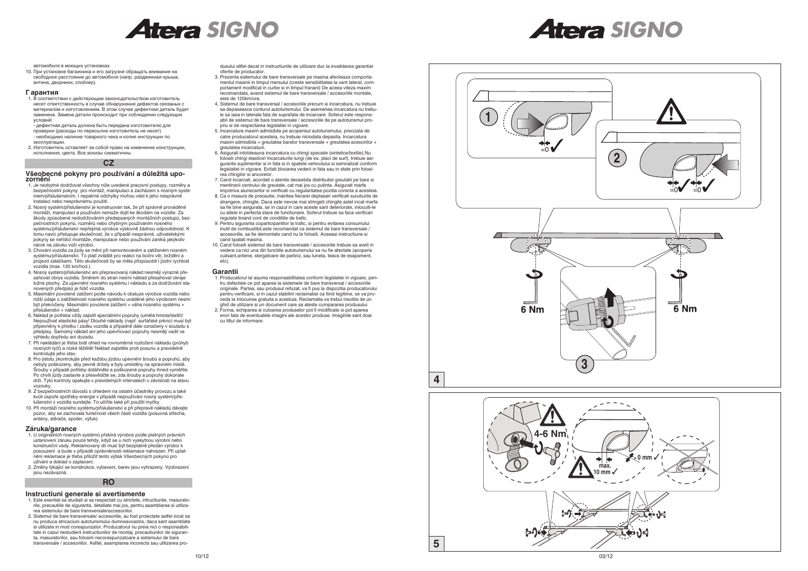



автомобиля в моющих установках.

10. При установке багажника и его загрузке обращать внимание на свободное расстояние до автомобиля (напр. раздвижная крыша, антена, дворники, спойлер).

#### **Г арантия**

1. В соответствии с действующим законодательством изготовитель несет ответственность в случае обнаружения дефектов связаных с материалом и изготовлением. В этом случае дефектная деталь будет заменена. Замена детали происходит при соблюдении следующих условий:

- дефектная деталь должна быть передана изготовителю для проверки (расходы по пересылке изготовитель не несет) - необходимо наличие товарного чека и копия инструкции по эксплуатации.

2. Изготовитель оставляет за собой право на изменение конструкции, исполнения, цвета. Все эскизы схематичны.

#### **Všeobecné pokyny pro používání a důležitá upozornění**

- 1. Je nezbytné dodržovat všechny níže uvedené pracovní postupy, rozměry a bezpečnostní pokyny pro montáž, manipulaci a zacházení s nosným systémem/příslušenstvím. I nepatrné odchylky mohou vést k jeho nesprávné instalaci nebo nesprávnému použití.
- 2. Nosný systém/příslušenství je konstruován tak, že při správně prováděné montáži, manipulaci a používání nemůže dojít ke škodám na vozidle. Za škody způsobené nedodržováním předepsaných montážních postupů, bezpečnostních pokynů, rozměrů nebo chybným používáním nosného systému/příslušenství nepřejímá výrobce výslovně žádnou odpovědnost. K tomu navíc přistupuje skutečnost, že v případě nesprávné, uživatelskými pokyny se neřídící montáže, manipulace nebo používání zaniká jakýkoliv nárok na záruku vůči výrobci.
- 3. Chování vozidla za jízdy se mění při namontovaném a zatíženém nosném systému/příslušenství. To platí zvláště pro reakci na boční vítr, brždění a průjezd zatáčkami. Této skutečnosti by se měla přizpůsobit i jízdní rychlost vozidla (max. 120 km/hod.).
- 4. Nosný systém/příslušenství ani přepravovaný náklad nesmějí výrazně přesahovat obrys vozidla. Směrem do stran nesmí náklad přesahovat okraje ložné plochy. Za upevnění nosného systému i nákladu a za dodržování stanovených předpisů je řidič vozidla.
- 5. Maximální povolené zatížení podle návodu k obsluze výrobce vozidla nebo nižší údaje o zatížitelnosti nosného systému uváděné jeho výrobcem nesmí být překročeny. Maximální povolené zatížení = váha nosného systému + příslušenství + náklad.
- 6. Náklad je potřeba vždy zajistit speciálními popruhy (umělá hmota/textil)! Nepoužívat elastické pásy! Dlouhé náklady (např. surfařské prkno) musí být připevněny k předku i zadku vozidla a případně dále označeny v souladu s předpisy. Samotný náklad ani jeho upevňovací popruhy nesmějí vadit ve výhledu dopředu ani dozadu.
- 7. Při nakládání je třeba brát ohled na rovnoměrné rozložení nákladu (průhyb nosných tyčí) a nízké těžiště! Náklad zajistěte proti posunu a pravidelně kontrolujte jeho stav.
- 8. Pro jistotu zkontrolujte před každou jízdou upevnění šroubů a popruhů, aby nebyly poškozeny, aby pevně držely a byly umístěny na správném místě. Šrouby v případě potřeby dotáhněte a poškozené popruhy ihned vyměňte. Po chvíli jízdy zastavte a přesvědčte se, zda šrouby a popruhy dokonale drží. Tyto kontroly opakujte v pravidelných intervalech v závislosti na stavu vozovky.
- 9. Z bezpečnostních důvodů s ohledem na ostatní účastníky provozu a také kvůli úspoře spotřeby energie v případě nepoužívání nosný systém/příslušenství z vozidla sundejte. To učiňte také při použití myčky.
- 10. Při montáži nosného systému/příslušenství a při přepravě nákladů dávejte pozor, aby se zachovala funkčnost všech částí vozidla (posuvná střecha, antény, stěrače, spoiler, výfuk).
- 3. Prezenta sistemului de bare transversale pe masina afecteaza comportamentul masinii in timpul mersului (creste sensibilitatea la vant lateral, comportament modificat in curbe si in timpul franarii) De aceea viteza maxim recomandata, avand sistemul de bare transversale / accesoriile montate, este de 120km/ora.
- 4. Sistemul de bare transversal / accesoriile precum si incarcatura, nu trebuie sa depaseasca conturul autoturismului. De asemenea incarcatura nu trebuie sa iasa in laterala fata de suprafata de incarcare. Soferul este responsabil de sistemul de bare transversale / accesoriile de pe autoturismul propriu si de respectarea legislatiei in vigoare.
- 5. Incarcatura maxim admisibila pe acoperisul autoturismului, precizata de catre producatorul acesteia, nu trebuie niciodata depasita. Incarcatura maxim admisibila = greutatea barelor transversale + greutatea acesoriilor + greutatea incarcaturii.
- 6. Asigurati intotdeauna incarcatura cu chingi speciale (sintetice/textile).Nu folositi chingi elastice! Incarcaturile lungi (de ex. placi de surf), trebuie asigurante suplimentar si in fata si in spatele vehicolului si semnalizat conform legislatiei in vigoare. Evitati blocarea vederii in fata sau in state prin folosirea chingilor si ancorelor.
- 7. Cand incarcati, acordati o atentie deosebita distributiei greutatii pe bare si mentinerii centrului de greutate, cat mai jos cu putinta. Asigurati marfa impotriva alunecarilor si verificati cu regularitatea pozitia corecta a acesteia.
- 8. Ca o masura de precautie, inaintea fiecarei deplasari verificati suruburile de strangere, chingile. Daca este nevoie mai stringeti chingile astel incat marfa sa fie bine asigurata, iar in cazul in care aceste sant deteriorate, inlocuiti-le cu altele in perfecta stare de functionare. Soferul trebuie sa faca verificari regulate tinand cont de conditiile de trafic.
- 9. Pentru siguranta coparticipantilor la trafic, si pentru evitarea consumului inutil de combustibil,este recomandat ca sistemul de bare transversale / accesoriile, sa fie demontate cand nu le folositi. Aceeasi instructiune si cand spalati masina.
- 10. Cand folositi sistemul de bare transversale / accesoriile trebuie sa aveti in vedere ca nici una din functiile autoturismului sa nu fie afectate (acoperis culisant,antene, stergatoare de parbriz, sau luneta, teava de esapament, etc)

#### **Záruka/garance**

- 1. U originálních nosných systémů přebírá výrobce podle platných právních ustanovení záruku pouze tehdy, když se u nich vyskytnou výrobní nebo konstrukční vady. Reklamovaný díl musí být bezplatně předán výrobci k posouzení a bude v případě oprávněnosti reklamace nahrazen. Při uplatnění reklamace je třeba přiložit tento výtisk Všeobecných pokynů pro užívání a doklad o zaplacení.
- 2. Změny týkající se konstrukce, vybavení, barev jsou vyhrazeny. Vyobrazení jsou nezávazná.





#### **Instructiuni generale si avertismente**

- 1. Este esential sa studiati si sa respectati cu strictete, intructiunile, masuratorile, precautiile de siguranta, detaliate mai jos, pentru asamblarea si utilizarea sistemului de bare transversale/accesoriilor.
- 2. Sistemul de bare transversale/ accesoriile, au fost proiectate astfel incat sa nu produca stricaciuni autoturismului dumneavoastra, daca sant asamblate si utilizate in mod corespunzator. Producatorul nu preia nici o responsabilitate in cazul nestudierii instructiunilor de montaj, precautiunilor de siguranta, masuratorilor, sau folosirii necorespunzatoare a sistemului de bare transversale / accesoriilor. Astfel, asamplarea incorecta sau utilizarea pro-

dusului altfel decat in instructiunile de utilizare duc la invalidarea garantiei oferite de producator.

#### **Garantii**

- 1. Producatorul isi asuma responsabilitatea conform legislatiei in vigoare, pentru defectele ce pot aparea la sistemele de bare transversal / accesoriile originale. Partea, sau produsul refuzat, va fi pus la dispozitia producatorului pentru verificare, si in cazul stabilirii reclamatiei ca fiind legitime, se va proceda la inlocuirea gratuita a acestuia. Reclamatia va trebui insotita de un ghid de utilizare si un document care sa ateste cumpararea produsului.
- 2. Forma, echiparea si culoarea produselor pot fi modificate si pot aparea erori fata de eventualele imagini ale acestor produse. Imaginile sant doar cu titlul de informare.

#### **CZ**

#### **RO**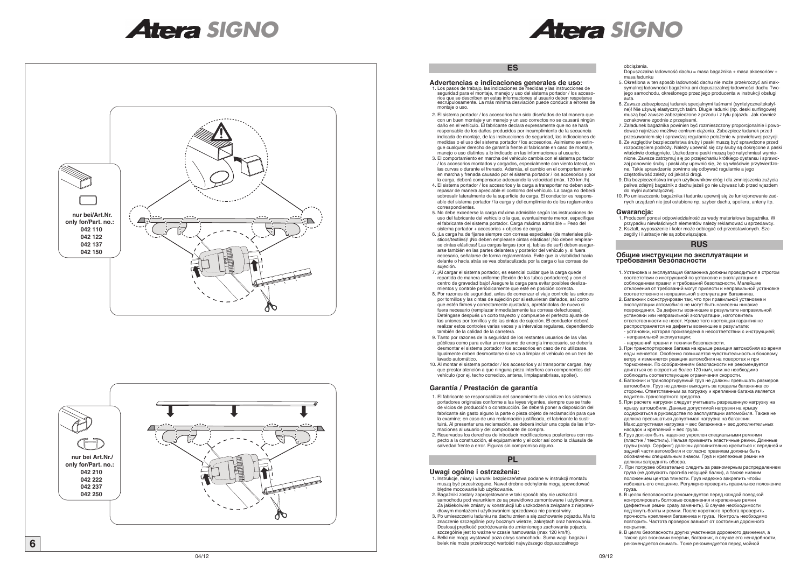**AC** 



# *SIGNO SIGNO*



#### **Advertencias e indicaciones generales de uso:**

- 1. El fabricante se responsabiliza del saneamiento de vicios en los sistemas portadores originales conforme a las leyes vigentes, siempre que se trate de vicios de producción o construcción. Se deberá poner a disposición del fabricante sin gasto alguno la parte o pieza objeto de reclamación para que la examine; en caso de una reclamación justificada, el fabricante la sustituirá. Al presentar una reclamación, se deberá incluir una copia de las informaciones al usuario y del comprobante de compra.
- 2. Reservados los derechos de introducir modificaciones posteriores con respecto a la construcción, el equipamiento y el color así como la cláusula de salvedad frente a error. Figuras sin compromiso alguno.
- 1. Los pasos de trabajo, las indicaciones de medidas y las instrucciones de seguridad para el montaje, manejo y uso del sistema portador / los accesorios que se describen en estas informaciones al usuario deben respetarse escrupulosamente. La más mínima desviación puede conducir a errores de montaje o uso.
- 2. El sistema portador / los accesorios han sido diseñados de tal manera que con un buen montaje y un manejo y un uso correctos no se causará ningún daño en el vehículo. El fabricante declara expresamente que no se hará responsable de los daños producidos por incumplimiento de la secuencia indicada de montaje, de las instrucciones de seguridad, las indicaciones de medidas o el uso del sistema portador / los accesorios. Asimismo se extingue cualquier derecho de garantía frente al fabricante en caso de montaje, manejo o uso distintos a lo indicado en las informaciones al usuario.
- 3. El comportamiento en marcha del vehículo cambia con el sistema portador / los accesorios montados y cargados, especialmente con viento lateral, en las curvas o durante el frenado. Además, el cambio en el comportamiento en marcha y frenada causado por el sistema portador / los accesorios y por la carga, deberá compensarse adecuando la velocidad (máx. 120 km./h).
- 4. El sistema portador / los accesorios y la carga a transportar no deben sobrepasar de manera apreciable el contorno del vehículo. La carga no deberá sobresalir lateralmente de la superficie de carga. El conductor es responsable del sistema portador / la carga y del cumplimiento de los reglamentos correspondientes.
- 5. No debe excederse la carga máxima admisible según las instrucciones de uso del fabricante del vehículo o la que, eventualmente menor, especifique el fabricante del sistema portador. Carga máxima admisible = Peso del sistema portador + accesorios + objetos de carga.
- 6. ¡La carga ha de fijarse siempre con correas especiales (de materiales plásticos/textiles)! ¡No deben emplearse cintas elásticas! ¡No deben emplearse cintas elásticas! Las cargas largas (por ej. tablas de surf) deben asegurarse también en las partes delantera y posterior del vehículo y, si fuera necesario, señalarse de forma reglamentaria. Evite que la visibilidad hacia delante o hacia atrás se vea obstaculizada por la carga o las correas de sujeción.
- 7. ¡Al cargar el sistema portador, es esencial cuidar que la carga quede repartida de manera uniforme (flexión de los tubos portadores) y con el centro de gravedad bajo! Asegure la carga para evitar posibles deslizamientos y controle periódicamente que esté en posición correcta.
- 8. Por razones de seguridad, antes de comenzar el viaje controle las uniones por tornillos y las cintas de sujeción por si estuvieran dañados, así como que estén firmes y correctamente ajustadas, apretándolas de nuevo si fuera necesario (remplazar inmediatamente las correas defectuosas). Deténgase después un corto trayecto y compruebe el perfecto ajuste de las uniones por tornillos y de las cintas de sujeción. El conductor deberá realizar estos controles varias veces y a intervalos regulares, dependiendo también de la calidad de la carretera.
- 9. Tanto por razones de la seguridad de los restantes usuarios de las vías públicas como para evitar un consumo de energía innecesario, se debería desmontar el sistema portador / los accesorios en caso de no utilizarse. Igualmente deben desmontarse si se va a limpiar el vehículo en un tren de lavado automático.
- 10. Al montar el sistema portador / los accesorios y al transportar cargas, hay que prestar atención a que ninguna pieza interfiera con componentes del vehículo (por ej. techo corredizo, antena, limpiaparabrisas, spoiler).

#### **Garantía / Prestación de garantía**

#### **Uwagi ogólne i ostrzeżenia:**

- 1. Instrukcje, miary i warunki bezpieczeństwa podane w instrukcji montażu muszą być przestrzegane. Nawet drobne odchylenia mogą spowodować błędne mocowanie lub użytkowanie.
- 2. Bagażniki zostały zaprojektowane w taki sposób aby nie uszkodzić samochodu pod warunkiem że są prawidłowo zamontowane i użytkowane. Za jakiekolwiek zmiany w konstrukcji lub uszkodzenia związane z nieprawidłowym montażem i użytkowaniem sprzedawca nie ponosi winy.
- 3. Po umieszczeniu ładunku na dachu zmienia się zachowanie pojazdu. Ma to znaczenie szczególnie przy bocznym wietrze, zakrętach oraz hamowaniu. Dostosuj prędkość podróżowania do zmienionego zachowania pojazdu, szczególnie jest to ważne w czasie hamowania (max 120 km/h).
- 4. Belki nie mogą wystawać poza obrys samochodu. Suma wagi bagażu i belek nie może przekroczyć wartości najwyższego dopuszczalnego

obciążenia.

Dopuszczalna ładowność dachu = masa bagażnika + masa akcesoriów + masa ładunku

- 5. Określona w ten sposób ładowność dachu nie może przekroczyć ani maksymalnej ładowności bagażnika ani dopuszczalnej ładowności dachu Twojego samochodu, określonego przez jego producenta w instrukcji obsługi auta.
- 6. Zawsze zabezpieczaj ładunek specjalnymi taśmami (syntetyczne/tekstylne)! Nie używaj elastycznych taśm. Długie ładunki (np. deski surfingowe) muszą być zawsze zabezpieczone z przodu i z tyłu pojazdu. Jak również oznakowane zgodnie z przepisami.
- 7. Załadunek bagażnika powinien być rozmieszczony proporcjonalnie i powodować najniższe możliwe centrum ciążenia. Zabezpiecz ładunek przed przesuwaniem się i sprawdzaj regularnie położenie w prawidłowej pozycji.
- 8. Ze względów bezpieczeństwa śruby i paski muszą być sprawdzone przed rozpoczęciem podróży. Należy upewnić się czy śruby są dokręcone a paski właściwie dociągnięte. Uszkodzone paski muszą być natychmiast wymienione. Zawsze zatrzymuj się po przejechaniu krótkiego dystansu i sprawdzaj ponownie śruby i paski aby upewnić się, że są właściwie przytwierdzone. Takie sprawdzenie powinno się odbywać regularnie a jego częstotliwość zależy od jakości drogi.
- 9. Dla bezpieczeństwa innych użytkowników dróg i dla zmniejszenia zużycia paliwa zdejmij bagażnik z dachu jeżeli go nie używasz lub przed wjazdem do myjni automatycznej.
- 10. Po umieszczeniu bagażnika i ładunku upewnij się że funkcjonowanie żadnych urządzeń nie jest osłabione np. szyber dachu, spoilera, anteny itp.

#### **Gwarancja:**

- 1. Producent ponosi odpowiedzialność za wady materiałowe bagażnika. W przypadku niewłaściwych elementów należy reklamować u sprzedawcy. 2. Kształt, wyposażenie i kolor może odbiegać od przedstawionych. Szc-
- zegóły i ilustracje nie są zobowiązujące.

#### **Общие инструкции по эксплуатации и требования безопасности**

- 1. Установка и эксплуатация багажника должны проводиться в строгом соответствии с инструкцией по установке и эксплуатации с соблюдением правил и требований безопасности. Малейшие отклонения от требований могут привести к неправильной установке соответственно к неправильной эксплуатации багажника.
- 2. Багажник сконструирован так, что при правильной установке и эксплуатации автомобилю не могут быть нанесены никакие повреждения. За дефекты возникшие в результате неправильной установки или неправильной эксплуатации, изготовитель ответственности не несет. Кроме того настоящая гарантия не распространяется на дефекты возникшие в результате: - установки, которая произведена в несоответствии с инструкцией; - неправильной эксплуатации;
- нарушений правил и техники безопасности. 3. При транспортировке багажа на крыше реакция автомобиля во время езды меняется. Особенно повышается чувствительность к боковому ветру и изменяется реакция автомобиля на поворотах и при торможении. По соображениям безопасности не рекомендуется двигаться со скоростью более 120 км/ч, или же необходимо соблюдать соответствующие ограничения скорости.
- 4. Багажник и транспортируемый груз не должны превышать размеров автомобиля. Груз не должен выходить за пределы багажника со стороны. Ответственным за погрузку и крепление багажа является водитель транспортного средства.
- 5. При расчете нагрузки следует учитывать разрешенную нагрузку на крышу автомобиля. Данные допустимой нагрузки на крышу содержаться в руководстве по эасплуатации автомобиля. Также не должна превышаться допустимая нагрузка на багажник. Макс.допустимая нагрузка = вес багажника + вес дополнительных насадок и креплений + вес груза.
- 6. Груз должен быть надежно укреплен специальными ремнями (пластик / текстиль). Нельзя применять эластичные ремни. Длинные грузы (напр. Серфинг) должны дополнительно крепиться к передней и задней части автомобиля и согласно правилам должны быть обозначены специальным знаком. Груз и крепежные ремни не должны затруднять обзора.
- 7. При погрузке обязательно следить за равномерным распределением груза (не допускать прогиба несущей балки), а также низким положением центра тяжести. Груз надежно закрепить чтобы избежать его смещение. Регулярно проверять правильное положение груза.
- 8. В целях безопасности рекомендуется перед каждой поездкой контролировать болтовые соединения и крепежные ремни (дефектные ремни сразу заменить). В случае необходимости подтянуть болты и ремни. После короткого пробега проверить прочность крепления багажника и груза. Контроль необходимо повторить. Частота проверок зависит от состояния дорожного покрытия.
- 9. В целях безопасности других участников дорожного движения, а также для экономии энергии, багажник, в случае его ненадобности, рекомендуется снимать. Тоже рекомендуется перед мойкой

## **ES**

### **PL**

## **RUS**



 **nur bei Art.Nr./ only for/Part. no.: 042 210 042 222 042 237 042 250**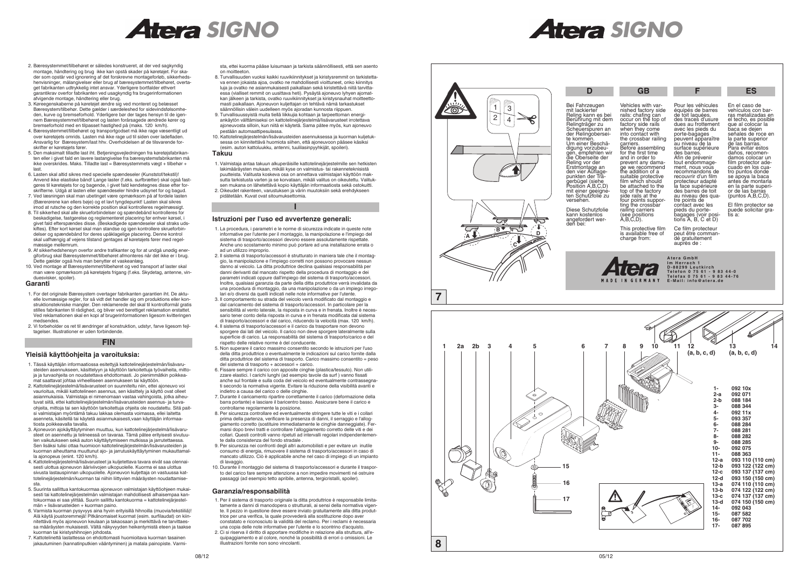



- 2. Bæresystemmet/tilbehøret er således konstrueret, at der ved sagkyndig montage, håndtering og brug ikke kan opstå skader på køretøjet. For skader som opstår ved ignorering af det forskrevne montageforløb, sikkerhedshenvisninger, målangivelser eller brug af bæresystemmet/tilbehøret, overtaget fabrikanten udtrykkelig intet ansvar. Yderligere bortfalder ethvert garantikrav overfor fabrikanten ved usagkyndig fra brugerinformationen afvigende montage, håndtering eller brug.
- 3. Køreegenskaberne på køretøjet ændre sig ved monteret og belæsset Bæresystem/tilbehør. Dette gælder i særdeleshed for sidevindsfølsomheden, kurve og bremseforhold. Yderligere bør der tages hensyn til de igennem Bæresystemmet/tilbehøret og lasten forårsagede ændrede kører og bremseforhold med en tilpasset hastighed på (maks. 120 km/h).
- 4. Bæresystemmet/tilbehøret og transportgodset må ikke rage væsentligt ud over køretøjets omrids. Lasten må ikke rage ud til siden over ladefladen. Ansvarlig for Bæresystem/last hhv. Overholdelsen af de tilsvarende forskrifter er køretøjets fører.
- 5. Den maksimalt tilladte last iht. Betjeningsvejledningen fra køretøjsfabrikanten eller i givet fald en lavere lastangivelse fra bæresystemsfabrikanten må ikke overskrides. Maks. Tilladte last = Bæresystemmets vægt + tilbehør + last.
- 6. Lasten skal altid sikres med specielle spændeseler (Kunststof/tekstil)! Anvend ikke elastiske bånd! Lange laster (f.eks. surfbrætter) skal også fastgøres til køretøjets for og bagende, i givet fald kendetegnes disse efter forskrifterne. Udgå at lasten eller spændeseler hindre udsynet for og bagud.
- 7. Ved læsningen skal man ubetinget være opmærksom på af fordele lasten (Bærerørene kan ellers bøje) og et lavt tyngdepunkt! Lasten skal sikres imod at rutsche og den korrekte position skal kontrolleres regelmæssigt.
- 8. Til sikkerhed skal alle skrueforbindelser og spændebånd kontrolleres for beskadigelse, fastgørelse og reglementeret placering før enhver kørsel, i givet fald efterspændes disse. (Beskadigede spændeseler skal straks udskiftes). Efter kort kørsel skal man standse og igen kontrollere skrueforbindelser og spændebånd for deres upåklagelige placering. Denne kontrol skal uafhængig af vejens tilstand gentages af køretøjets fører med regelmæssige mellemrum.
- 9. Af sikkerhedshensyn overfor andre trafikanter og for at undgå unødig energiforbrug skal Bæresystemmet/tilbehøret afmonteres når det ikke er i brug. Dette gælder også hvis man benytter et vaskeanlæg.
- 10. Ved montage af Bæresystemmet/tilbehøret og ved transport af laster skal man være opmærksom på køretøjets frigang (f.eks. Skydetag, antenne, vinduesvisker, spoiler).

#### **Garanti**

- 1. For det originale Bæresystem overtager fabrikanten garantien iht. De aktuelle lovmæssige regler, for så vidt det handler sig om produktions eller konstruktionstekniske mangler. Den reklamerede del skal til kontrolformål gratis stilles fabrikanten til rådighed, og bliver ved berettiget reklamation erstattet. Ved reklamationen skal en kopi af brugerinformationen ligesom kvitteringen medsendes.
- 2. Vi forbeholder os ret til ændringer af konstruktion, udstyr, farve ligesom fejltagelser. Illustrationer er uden forbindende.

#### **Yleisiä käyttöohjeita ja varoituksia:**

- 1. Tässä käyttäjän informaatiossa esitettyjä kattotelinejärjestelmän/lisävarusteiden asennukseen, käsittelyyn ja käyttöön tarkoitettuja työvaiheita, mittoja ja turvaohjeita on noudatettava ehdottomasti. Jo pienimmätkin poikkeamat saattavat johtaa virheelliseen asennukseen tai käyttöön.
- 2. Kattotelinejärjestelmä/lisävarusteet on suunniteltu niin, ettei ajoneuvo voi vaurioitua, mikäli kattotelineen asennus, sen käsittely ja käyttö ovat olleet asianmukaisia. Valmistaja ei nimenomaan vastaa vahingoista, jotka aiheutuvat siitä, ettei kattotelinejärjestelmän/lisävarusteiden asennus- ja turvaohjeita, mittoja tai sen käyttöön tarkoitettuja ohjeita ole noudatettu. Sitä paitsi valmistajan myöntämä takuu lakkaa olemasta voimassa, ellei laitetta asenneta, käsitellä tai käytetä asianmukaisesti,vaan käyttäjän informaatiosta poikkeavalla tavalla.
- 3. Ajoneuvon ajokäyttäytyminen muuttuu, kun kattotelinejärjestelmä/lisävarusteet on asennettu ja telineessä on tavaraa. Tämä pätee erityisesti sivutuulen vaikutukseen sekä auton käyttäytymiseen mutkissa ja jarrutettaessa. Sen lisäksi tulisi ottaa huomioon kattotelinejärjestelmän/lisävarusteiden ja kuorman aiheuttama muuttunut ajo- ja jarrutuskäyttäytyminen mukauttamalla ajonopeus (enint. 120 km/h).
- 4. Kattotelinejärjestelmä/lisävarusteet ja kuljetettava tavara eivät saa olennaisesti ulottua ajoneuvon ääriviivojen ulkopuolelle. Kuorma ei saa ulottua sivusta lastauspinnan ulkopuolelle. Ajoneuvon kuljettaja on vastuussa kattotelinejärjestelmän/kuorman tai niihin liittyvien määräysten noudattamisesta.
- 5. Suurinta sallittua kantokuormaa ajoneuvon valmistajan käyttöohjeen mukaisesti tai kattotelinejärjestelmän valmistajan mahdollisesti alhaisempaa kantokuormaa ei saa ylittää. Suurin sallittu kantokuorma = kattotelinejärjestelmän + lisävarusteiden + kuorman paino.
- 6. Varmista kuorman pysyvyys aina hyvin erityisillä hihnoilla (muovia/tekstiiliä)! Alä käytä joustoremmejä! Pitkänomaiset kuormat (esim. surfilaudat) on kiinnitettävä myös ajoneuvon keulaan ja takaosaan ja merkittävä ne tarvittaessa määräysten mukaisesti. Vältä näkyvyyden heikentymistä eteen ja taakse kuorman tai kiristyshihnojen johdosta.
- 7. Kattotelinettä lastattessa on ehdottomasti huomioitava kuorman tasainen jakautuminen (kannatinputkien vääntyminen) ja matala painopiste. Varmi-

sta, ettei kuorma pääse luisumaan ja tarkista säännöllisesti, että sen asento on moitteeton.

- 8. Turvallisuuden vuoksi kaikki ruuvikiinnitykset ja kiristysremmit on tarkistettava ennen jokaista ajoa, ovatko ne mahdollisesti vioittuneet, onko kiinnitys luja ja ovatko ne asianmukaisesti paikallaan sekä kiristettävä niitä tarvittaessa (vialliset remmit on uusittava heti). Pysäytä ajoneuvo lyhyen ajomatkan jälkeen ja tarkista, ovatko ruuvikiinnitykset ja kiristysnauhat moitteettomasti paikallaan. Ajoneuvon kuljettajan on tehtävä nämä tarkastukset säännöllisin välein uudelleen myös ajoradan kunnosta riippuen.
- 9. Turvallisuussyistä muita tiellä liikkujia kohtaan ja tarpeettoman energiankäytön välttämiseksi on kattotelinejärjestelmä/lisävarusteet irrotettava ajoneuvosta silloin, kun niitä ei käytetä. Sama pätee myös, kun ajoneuvo pestään automaattipesulassa.
- 10. Kattotelinejärjestelmän/lisävarusteiden asennuksessa ja kuorman kuljetuksessa on kiinnitettävä huomiota siihen, että ajoneuvoon pääsee käsiksi (esim. auton kattoluukku, antenni, tuulilasinpyyhkijät, spoileri).

This protective film is available free of charge from:

# MADE IN GERMANY

#### **Takuu**

1. Valmistaja antaa takuun alkuperäisille kattotelinejärjestelmille sen hetkisten lakimääräysten mukaan, mikäli kyse on valmistus- tai rakenneteknisistä puutteista. Valitusta koskeva osa on annettava valmistajan käyttöön maksutta tarkistusta varten ja se korvataan, mikäli valitus on oikeutettu. Valituksen mukana on lähetettävä kopio käyttäjän informaatiosta sekä ostokuitti. 2. Oikeudet rakenteen, varustuksen ja värin muutoksiin sekä erehdykseen

pidätetään. Kuvat ovat sitoumuksettomia.

#### **Istruzioni per l'uso ed avvertenze generali:**

- 1. La procedura, i parametri e le norme di sicurezza indicate in queste note informative per l'utente per il montaggio, la manipolazione e l'impiego del sistema di trasporto/accessori devono essere assolutamente rispettate. Anche uno scostamento minimo può portare ad una installazione errata o ad un utilizzo improprio.
- 2. Il sistema di trasporto/accessori è strutturato in maniera tale che il montaggio, la manipolazione e l'impiego corretti non possono provocare nessun danno al veicolo. La ditta produttrice declina qualsiasi responsabilità per danni derivanti dal mancato rispetto della procedura di montaggio e dei parametri indicati oppure dall'impiego del sistema di trasporto/accessori. Inoltre, qualsiasi garanzia da parte della ditta produttrice verrà invalidata da una procedura di montaggio, da una manipolazione o da un impiego irregolari e/o diversi da quelli indicati nelle note informative per l'utente.
- 3. Il comportamento su strada del veicolo verrà modificato dal montaggio e dal caricamento del sistema di trasporto/accessori. In particolare per la sensibilità al vento laterale, la risposta in curva e in frenata. Inoltre è necessario tener conto della risposta in curva e in frenata modificata dal sistema di trasporto/accessori e dal carico, riducendo la velocità (max. 120 km/h).
- 4. Il sistema di trasporto/accessori e il carico da trasportare non devono sporgere dai lati del veicolo. Il carico non deve sporgere lateralmente sulla superficie di carico. La responsabilità del sistema di trasporto/carico e del rispetto delle relative norme è del conducente.
- 5. Non superare il carico massimo consentito secondo le istruzioni per l'uso della ditta produttrice o eventualmente le indicazioni sul carico fornite dalla ditta produttrice del sistema di trasporto. Carico massimo consentito = peso del sistema di trasporto + accessori + carico.
- 6. Fissare sempre il carico con apposite cinghie (plastica/tessuto). Non utilizzare elastici. I carichi lunghi (ad esempio tavole da surf ) vanno fissati anche sul frontale e sulla coda del veicolo ed eventualmente contrassegnati secondo la normativa vigente. Evitare la riduzione della visibilità avanti e indietro a causa del carico o delle cinghie.
- 7. Durante il caricamento ripartire correttamente il carico (deformazione della barra portante) e lasciare il baricentro basso. Assicurare bene il carico e controllarne regolarmente la posizione.
- 8. Per sicurezza controllare ed eventualmente stringere tutte le viti e i collari prima della partenza, verificare la presenza di danni, il serraggio e l'alloggiamento corretto (sostituire immediatamente le cinghie danneggiate). Fermarsi dopo brevi tratti e controllare l'alloggiamento corretto delle viti e dei collari. Questi controlli vanno ripetuti ad intervalli regolari indipendentemente dalla consistenza del fondo stradale .
- 9. Per sicurezza nei confronti degli altri automobilisti e per evitare un inutile consumo di energia, rimuovere il sistema di trasporto/accessori in caso di mancato utilizzo. Ciò è applicabile anche nel caso di impiego di un impianto di lavaggio
- 10. Durante il montaggio del sistema di trasporto/accessori e durante il trasporto del carico fare sempre attenzione a non impedire movimenti né ostruire passaggi (ad esempio tetto apribile, antenna, tergicristalli, spoiler).

#### **Garanzia/responsabilità**

- 1. Per il sistema di trasporto originale la ditta produttrice è responsabile limitatamente a danni di manodopera o strutturali, ai sensi della normativa vigente. Il pezzo in questione deve essere inviato gratuitamente alla ditta produttrice per una verifica, la quale provvederà alla sostituzione dopo aver constatato e riconosciuto la validità del reclamo. Per i reclami è necessaria una copia delle note informative per l'utente e lo scontrino d'acquisto.
- 2. Ci si riserva il diritto di apportare modifiche in relazione alla struttura, all'equipaggiamento e al colore, nonché la possibilità di errori o omissioni. Le illustrazioni fornite non sono vincolanti.

#### **FIN**

**I**



| ומז<br>8<br>11<br>12<br>13<br>14<br>9<br>10<br>(a, b, c, d)<br>(a, b, c, d)<br>$1 -$<br>092 10x<br>$2-a$<br>092 071<br>$2-b$<br>088 184<br>3-<br>088 344<br>$4-$<br>092 11x<br>5-<br>093 357<br>$6-$<br>088 284<br>$7-$<br>088 281<br>8-<br>088 282<br>9-<br>088 285<br>$10-$<br>092 075<br>$11 -$<br>088 363<br>$12-a$<br>093 110 (110 cm)<br>093 122 (122 cm)<br>$12-b$<br>$12-c$<br>093 137 (137 cm)<br>$12-d$<br>093 150 (150 cm)<br>$13-a$<br>074 110 (110 cm)<br>$13-b$<br>074 122 (122 cm)<br>$13-c$<br>074 137 (137 cm)<br>$13-d$<br>074 150 (150 cm)<br>$14 -$<br>092 043<br>$15 -$<br>087 582<br>$16 -$<br>087702<br>$17 -$<br>087 895 |  |  |
|--------------------------------------------------------------------------------------------------------------------------------------------------------------------------------------------------------------------------------------------------------------------------------------------------------------------------------------------------------------------------------------------------------------------------------------------------------------------------------------------------------------------------------------------------------------------------------------------------------------------------------------------------|--|--|
|                                                                                                                                                                                                                                                                                                                                                                                                                                                                                                                                                                                                                                                  |  |  |
|                                                                                                                                                                                                                                                                                                                                                                                                                                                                                                                                                                                                                                                  |  |  |
|                                                                                                                                                                                                                                                                                                                                                                                                                                                                                                                                                                                                                                                  |  |  |



Bei Fahrzeugen mit lackiertei Reling kann es bei Berührung mit dem Relingträger zu Scheŭerspuren an<br>der Relingoberseite kommen. Um einer Beschädigung vorzubeugen, empfehlen wir die Oberseite der Reling vor der Erstmontage an den vier Auflage-punkten der Trägerbügel (siehe Position A,B,C,D) mit einer geeigneten Schutzfolie zu versehen.

> Diese Schutzfolie kann kostenlos angefordert werden bei:



Vehicles with varnished factory side rails: chafing can occur on the top of factory side rails when they come into contact with the crossbar railing carriers. Before assembling for the first time and in order to prevent any dama-ge we recommend the addition of a suitable protective film which should be attached to the top of the factory side rails at the four points supporting the crossbar railing carriers (see positions A,B,C,D).

Pour les véhicules équipés de barres de toit laquées, des traces d'usure dues au frottement avec les pieds du porte-bagages peuvent apparaître au niveau de la surface supérieure des barres. Afin de prévenir tout endommagement, nous vous recommandons de recouvrir d'un film protecteur adapté la face supérieure des barres de toit au niveau des quatre points de contact avec les pieds du porte-bagages (voir posi-tions A, B, C et D)

Ce film protecteur peut être commandé gratuitement auprès de :

En el caso de vehículos con barras metalizadas en el techo, es posible que al colocar la baca se dejen señales de roce en la parte superior de las barras. Para evitar estos daños, recomendamos colocar un film protector adecuado en los cuatro puntos donde se apoya la baca antes de montarla en la parte superior de las barras (puntos A,B,C,D).

El film protector se puede solicitar gra-tis a:

**A t e r a G m b H** Im Herrach 1 **D - 8 8 2 9 9 L e u t k i r c h Te l e f o n 0 7 5 6 1 - 9 8 3 4 4 - 0 Te l e f a x 0 7 5 6 1 - 9 8 3 4 4 - 7 6 E - M a i l : i n f o @ a t e r a . d e**

**D GB F ES**